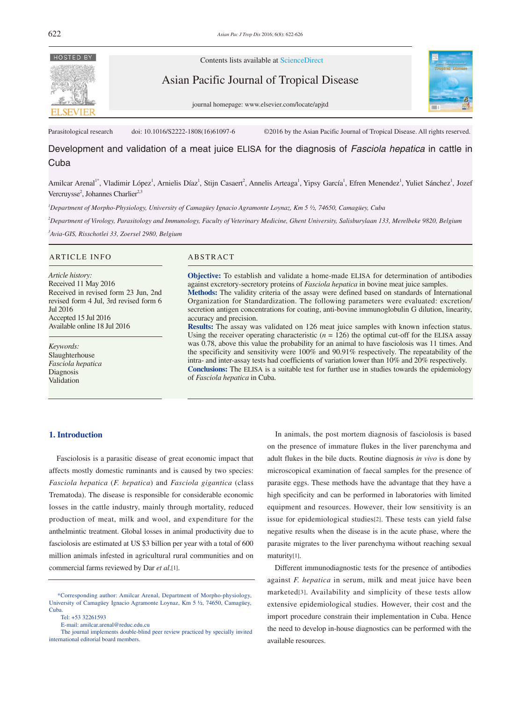

Contents lists available at ScienceDirect

Asian Pacific Journal of Tropical Disease



journal homepage: www.elsevier.com/locate/apjtd

Parasitological research doi: 10.1016/S2222-1808(16)61097-6 ©2016 by the Asian Pacific Journal of Tropical Disease. All rights reserved.

Development and validation of a meat juice ELISA for the diagnosis of *Fasciola hepatica* in cattle in Cuba

Amilcar Arenal<sup>1\*</sup>, Vladimir López<sup>1</sup>, Arnielis Díaz<sup>1</sup>, Stijn Casaert<sup>2</sup>, Annelis Arteaga<sup>1</sup>, Yipsy García<sup>1</sup>, Efren Menendez<sup>1</sup>, Yuliet Sánchez<sup>1</sup>, Jozef Vercruysse<sup>2</sup>, Johannes Charlier<sup>2,3</sup>

*1 Department of Morpho-Physiology, University of Camagüey Ignacio Agramonte Loynaz, Km 5 ½, 74650, Camagüey, Cuba* 

*2 Department of Virology, Parasitology and Immunology, Faculty of Veterinary Medicine, Ghent University, Salisburylaan 133, Merelbeke 9820, Belgium 3 Avia-GIS, Risschotlei 33, Zoersel 2980, Belgium* 

#### ARTICLE INFO ABSTRACT

*Article history:* Received 11 May 2016 Received in revised form 23 Jun, 2nd revised form 4 Jul, 3rd revised form 6 Jul 2016 Accepted 15 Jul 2016 Available online 18 Jul 2016

*Keywords:* Slaughterhouse *Fasciola hepatica* Diagnosis Validation

**Objective:** To establish and validate a home-made ELISA for determination of antibodies against excretory-secretory proteins of *Fasciola hepatica* in bovine meat juice samples. **Methods:** The validity criteria of the assay were defined based on standards of International Organization for Standardization. The following parameters were evaluated: excretion/ secretion antigen concentrations for coating, anti-bovine immunoglobulin G dilution, linearity, accuracy and precision.

**Results:** The assay was validated on 126 meat juice samples with known infection status. Using the receiver operating characteristic  $(n = 126)$  the optimal cut-off for the ELISA assay was 0.78, above this value the probability for an animal to have fasciolosis was 11 times. And the specificity and sensitivity were 100% and 90.91% respectively. The repeatability of the intra- and inter-assay tests had coefficients of variation lower than 10% and 20% respectively. **Conclusions:** The ELISA is a suitable test for further use in studies towards the epidemiology of *Fasciola hepatica* in Cuba.

# **1. Introduction**

 Fasciolosis is a parasitic disease of great economic impact that affects mostly domestic ruminants and is caused by two species: *Fasciola hepatica* (*F. hepatica*) and *Fasciola gigantica* (class Trematoda). The disease is responsible for considerable economic losses in the cattle industry, mainly through mortality, reduced production of meat, milk and wool, and expenditure for the anthelmintic treatment. Global losses in animal productivity due to fasciolosis are estimated at US \$3 billion per year with a total of 600 million animals infested in agricultural rural communities and on commercial farms reviewed by Dar *et al*.[1].

Tel: +53 32261593

E-mail: amilcar.arenal@reduc.edu.cu

 The journal implements double-blind peer review practiced by specially invited international editorial board members.

 In animals, the post mortem diagnosis of fasciolosis is based on the presence of immature flukes in the liver parenchyma and adult flukes in the bile ducts. Routine diagnosis *in vivo* is done by microscopical examination of faecal samples for the presence of parasite eggs. These methods have the advantage that they have a high specificity and can be performed in laboratories with limited equipment and resources. However, their low sensitivity is an issue for epidemiological studies[2]. These tests can yield false negative results when the disease is in the acute phase, where the parasite migrates to the liver parenchyma without reaching sexual maturity[1].

 Different immunodiagnostic tests for the presence of antibodies against *F. hepatica* in serum, milk and meat juice have been marketed[3]. Availability and simplicity of these tests allow extensive epidemiological studies. However, their cost and the import procedure constrain their implementation in Cuba. Hence the need to develop in-house diagnostics can be performed with the available resources.

 <sup>\*</sup>Corresponding author: Amilcar Arenal, Department of Morpho-physiology, University of Camagüey Ignacio Agramonte Loynaz, Km 5 ½, 74650, Camagüey, Cuba.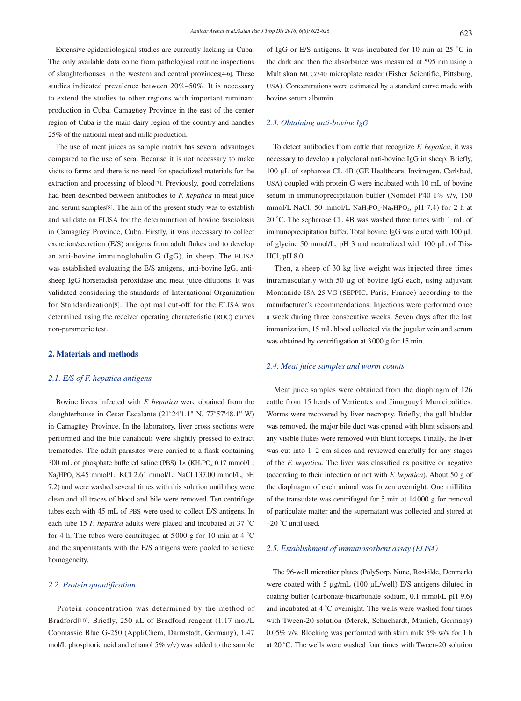Extensive epidemiological studies are currently lacking in Cuba. The only available data come from pathological routine inspections of slaughterhouses in the western and central provinces[4-6]. These studies indicated prevalence between 20%–50%. It is necessary to extend the studies to other regions with important ruminant production in Cuba. Camagüey Province in the east of the center region of Cuba is the main dairy region of the country and handles 25% of the national meat and milk production.

 The use of meat juices as sample matrix has several advantages compared to the use of sera. Because it is not necessary to make visits to farms and there is no need for specialized materials for the extraction and processing of blood[7]. Previously, good correlations had been described between antibodies to *F. hepatica* in meat juice and serum samples[8]. The aim of the present study was to establish and validate an ELISA for the determination of bovine fasciolosis in Camagüey Province, Cuba. Firstly, it was necessary to collect excretion/secretion (E/S) antigens from adult flukes and to develop an anti-bovine immunoglobulin G (IgG), in sheep. The ELISA was established evaluating the E/S antigens, anti-bovine IgG, antisheep IgG horseradish peroxidase and meat juice dilutions. It was validated considering the standards of International Organization for Standardization[9]. The optimal cut-off for the ELISA was determined using the receiver operating characteristic (ROC) curves non-parametric test.

# **2. Materials and methods**

# *2.1. E/S of F. hepatica antigens*

 Bovine livers infected with *F. hepatica* were obtained from the slaughterhouse in Cesar Escalante (21°24'1.1'' N, 77°57'48.1'' W) in Camagüey Province. In the laboratory, liver cross sections were performed and the bile canaliculi were slightly pressed to extract trematodes. The adult parasites were carried to a flask containing 300 mL of phosphate buffered saline (PBS)  $1 \times (KH_2PO_4 \cdot 0.17 \text{ mmol/L})$ ; Na<sub>2</sub>HPO<sub>4</sub> 8.45 mmol/L; KCl 2.61 mmol/L; NaCl 137.00 mmol/L, pH 7.2) and were washed several times with this solution until they were clean and all traces of blood and bile were removed. Ten centrifuge tubes each with 45 mL of PBS were used to collect E/S antigens. In each tube 15 *F. hepatica* adults were placed and incubated at 37 °C for 4 h. The tubes were centrifuged at 5000 g for 10 min at 4 °C and the supernatants with the E/S antigens were pooled to achieve homogeneity.

## *2.2. Protein quantification*

 Protein concentration was determined by the method of Bradford[10]. Briefly, 250 μL of Bradford reagent (1.17 mol/L Coomassie Blue G-250 (AppliChem, Darmstadt, Germany), 1.47 mol/L phosphoric acid and ethanol 5% v/v) was added to the sample of IgG or E/S antigens. It was incubated for 10 min at 25 °C in the dark and then the absorbance was measured at 595 nm using a Multiskan MCC/340 microplate reader (Fisher Scientific, Pittsburg, USA). Concentrations were estimated by a standard curve made with bovine serum albumin.

# *2.3. Obtaining anti-bovine IgG*

 To detect antibodies from cattle that recognize *F. hepatica*, it was necessary to develop a polyclonal anti-bovine IgG in sheep. Briefly, 100 µL of sepharose CL 4B (GE Healthcare, Invitrogen, Carlsbad, USA) coupled with protein G were incubated with 10 mL of bovine serum in immunoprecipitation buffer (Nonidet P40 1% v/v, 150 mmol/L NaCl, 50 mmol/L NaH<sub>2</sub>PO<sub>4</sub>-Na<sub>2</sub>HPO<sub>4</sub>, pH 7.4) for 2 h at 20 °C. The sepharose CL 4B was washed three times with 1 mL of immunoprecipitation buffer. Total bovine IgG was eluted with 100 µL of glycine 50 mmol/L, pH 3 and neutralized with 100 µL of Tris-HCl, pH 8.0.

 Then, a sheep of 30 kg live weight was injected three times intramuscularly with 50 µg of bovine IgG each, using adjuvant Montanide ISA 25 VG (SEPPIC, Paris, France) according to the manufacturer's recommendations. Injections were performed once a week during three consecutive weeks. Seven days after the last immunization, 15 mL blood collected via the jugular vein and serum was obtained by centrifugation at 3000 g for 15 min.

## *2.4. Meat juice samples and worm counts*

 Meat juice samples were obtained from the diaphragm of 126 cattle from 15 herds of Vertientes and Jimaguayú Municipalities. Worms were recovered by liver necropsy. Briefly, the gall bladder was removed, the major bile duct was opened with blunt scissors and any visible flukes were removed with blunt forceps. Finally, the liver was cut into 1–2 cm slices and reviewed carefully for any stages of the *F. hepatica*. The liver was classified as positive or negative (according to their infection or not with *F. hepatica*). About 50 g of the diaphragm of each animal was frozen overnight. One milliliter of the transudate was centrifuged for 5 min at 14000 g for removal of particulate matter and the supernatant was collected and stored at –20 °C until used.

## *2.5. Establishment of immunosorbent assay (ELISA)*

 The 96-well microtiter plates (PolySorp, Nunc, Roskilde, Denmark) were coated with 5 µg/mL (100 µL/well) E/S antigens diluted in coating buffer (carbonate-bicarbonate sodium, 0.1 mmol/L pH 9.6) and incubated at 4 °C overnight. The wells were washed four times with Tween-20 solution (Merck, Schuchardt, Munich, Germany) 0.05% v/v. Blocking was performed with skim milk 5% w/v for 1 h at 20 °C. The wells were washed four times with Tween-20 solution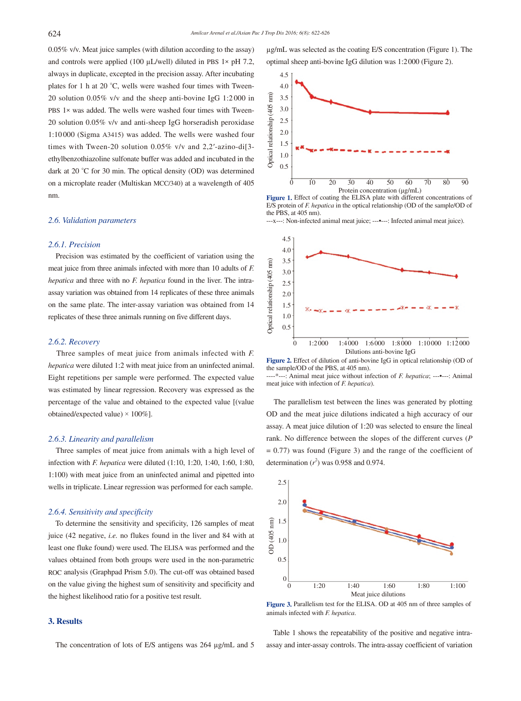0.05% v/v. Meat juice samples (with dilution according to the assay) and controls were applied (100 µL/well) diluted in PBS 1× pH 7.2, always in duplicate, excepted in the precision assay. After incubating plates for 1 h at 20 °C, wells were washed four times with Tween-20 solution 0.05% v/v and the sheep anti-bovine IgG 1:2 000 in PBS 1× was added. The wells were washed four times with Tween-20 solution 0.05% v/v and anti-sheep IgG horseradish peroxidase 1:10 000 (Sigma A3415) was added. The wells were washed four times with Tween-20 solution 0.05% v/v and 2,2′-azino-di[3 ethylbenzothiazoline sulfonate buffer was added and incubated in the dark at 20 °C for 30 min. The optical density (OD) was determined on a microplate reader (Multiskan MCC/340) at a wavelength of 405 nm.

# *2.6. Validation parameters*

#### *2.6.1. Precision*

 Precision was estimated by the coefficient of variation using the meat juice from three animals infected with more than 10 adults of *F. hepatica* and three with no *F. hepatica* found in the liver. The intraassay variation was obtained from 14 replicates of these three animals on the same plate. The inter-assay variation was obtained from 14 replicates of these three animals running on five different days.

# *2.6.2. Recovery*

 Three samples of meat juice from animals infected with *F. hepatica* were diluted 1:2 with meat juice from an uninfected animal. Eight repetitions per sample were performed. The expected value was estimated by linear regression. Recovery was expressed as the percentage of the value and obtained to the expected value [(value obtained/expected value)  $\times$  100%].

## *2.6.3. Linearity and parallelism*

 Three samples of meat juice from animals with a high level of infection with *F. hepatica* were diluted (1:10, 1:20, 1:40, 1:60, 1:80, 1:100) with meat juice from an uninfected animal and pipetted into wells in triplicate. Linear regression was performed for each sample.

## *2.6.4. Sensitivity and specificity*

 To determine the sensitivity and specificity, 126 samples of meat juice (42 negative, *i.e.* no flukes found in the liver and 84 with at least one fluke found) were used. The ELISA was performed and the values obtained from both groups were used in the non-parametric ROC analysis (Graphpad Prism 5.0). The cut-off was obtained based on the value giving the highest sum of sensitivity and specificity and the highest likelihood ratio for a positive test result.

# **3. Results**

The concentration of lots of E/S antigens was 264 µg/mL and 5

µg/mL was selected as the coating E/S concentration (Figure 1). The optimal sheep anti-bovine IgG dilution was 1:2000 (Figure 2).



**Figure 1.** Effect of coating the ELISA plate with different concentrations of E/S protein of *F. hepatica* in the optical relationship (OD of the sample/OD of the PBS, at 405 nm).

---x---: Non-infected animal meat juice; ---•---: Infected animal meat juice).



**Figure 2.** Effect of dilution of anti-bovine IgG in optical relationship (OD of the sample/OD of the PBS, at 405 nm).

-\*---: Animal meat juice without infection of *F. hepatica*; ---•---: Animal meat juice with infection of *F. hepatica*).

 The parallelism test between the lines was generated by plotting OD and the meat juice dilutions indicated a high accuracy of our assay. A meat juice dilution of 1:20 was selected to ensure the lineal rank. No difference between the slopes of the different curves (*P*  $= 0.77$ ) was found (Figure 3) and the range of the coefficient of determination  $(r^2)$  was 0.958 and 0.974.



**Figure 3.** Parallelism test for the ELISA. OD at 405 nm of three samples of animals infected with *F. hepatica*.

 Table 1 shows the repeatability of the positive and negative intraassay and inter-assay controls. The intra-assay coefficient of variation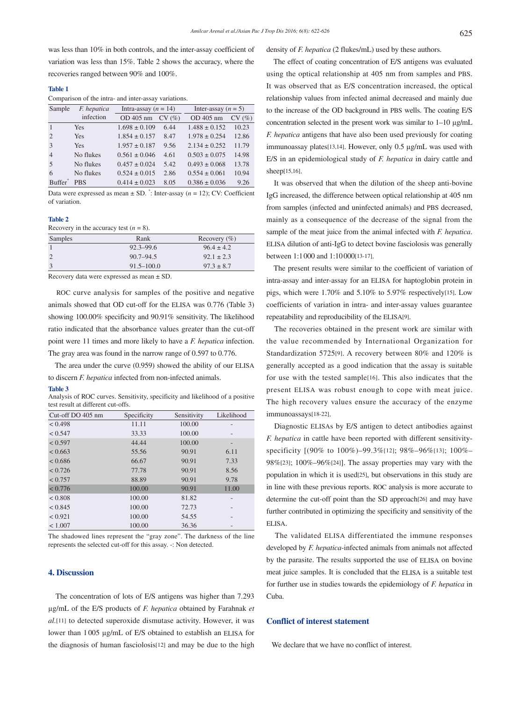was less than 10% in both controls, and the inter-assay coefficient of variation was less than 15%. Table 2 shows the accuracy, where the recoveries ranged between 90% and 100%.

## **Table 1**

Comparison of the intra- and inter-assay variations.

| F. hepatica | Intra-assay $(n = 14)$ |       | Inter-assay $(n = 5)$ |       |
|-------------|------------------------|-------|-----------------------|-------|
| infection   | OD 405 nm              | CV(%) | OD 405 nm             | CV(%) |
| <b>Yes</b>  | $1.698 \pm 0.109$      | 6.44  | $1.488 \pm 0.152$     | 10.23 |
| <b>Yes</b>  | $1.854 \pm 0.157$      | 8.47  | $1.978 \pm 0.254$     | 12.86 |
| <b>Yes</b>  | $1.957 \pm 0.187$      | 9.56  | $2.134 \pm 0.252$     | 11.79 |
| No flukes   | $0.561 \pm 0.046$      | 4.61  | $0.503 \pm 0.075$     | 14.98 |
| No flukes   | $0.457 \pm 0.024$      | 5.42  | $0.493 \pm 0.068$     | 13.78 |
| No flukes   | $0.524 \pm 0.015$      | 2.86  | $0.554 \pm 0.061$     | 10.94 |
| <b>PBS</b>  | $0.414 \pm 0.023$      | 8.05  | $0.386 \pm 0.036$     | 9.26  |
|             |                        |       |                       |       |

Data were expressed as mean  $\pm$  SD.  $\overline{\ }$ : Inter-assay (*n* = 12); CV: Coefficient of variation.

## **Table 2**

Recovery in the accuracy test  $(n = 8)$ .

| Samples | Rank           | Recovery $(\% )$ |
|---------|----------------|------------------|
|         | $92.3 - 99.6$  | $96.4 \pm 4.2$   |
|         | $90.7 - 94.5$  | $92.1 \pm 2.3$   |
| 3       | $91.5 - 100.0$ | $97.3 \pm 8.7$   |

Recovery data were expressed as mean ± SD.

 ROC curve analysis for samples of the positive and negative animals showed that OD cut-off for the ELISA was 0.776 (Table 3) showing 100.00% specificity and 90.91% sensitivity. The likelihood ratio indicated that the absorbance values greater than the cut-off point were 11 times and more likely to have a *F. hepatica* infection. The gray area was found in the narrow range of 0.597 to 0.776.

 The area under the curve (0.959) showed the ability of our ELISA to discern *F. hepatica* infected from non-infected animals.

**Table 3**

Analysis of ROC curves. Sensitivity, specificity and likelihood of a positive test result at different cut-offs.

| Cut-off DO 405 nm | Specificity | Sensitivity | Likelihood |
|-------------------|-------------|-------------|------------|
| < 0.498           | 11.11       | 100.00      |            |
| < 0.547           | 33.33       | 100.00      |            |
| < 0.597           | 44.44       | 100.00      |            |
| < 0.663           | 55.56       | 90.91       | 6.11       |
| < 0.686           | 66.67       | 90.91       | 7.33       |
| < 0.726           | 77.78       | 90.91       | 8.56       |
| < 0.757           | 88.89       | 90.91       | 9.78       |
| < 0.776           | 100.00      | 90.91       | 11.00      |
| < 0.808           | 100.00      | 81.82       |            |
| < 0.845           | 100.00      | 72.73       |            |
| < 0.921           | 100.00      | 54.55       |            |
| < 1.007           | 100.00      | 36.36       |            |

The shadowed lines represent the "gray zone". The darkness of the line represents the selected cut-off for this assay. -: Non detected.

# **4. Discussion**

 The concentration of lots of E/S antigens was higher than 7.293 µg/mL of the E/S products of *F. hepatica* obtained by Farahnak *et al.*[11] to detected superoxide dismutase activity. However, it was lower than 1005 µg/mL of E/S obtained to establish an ELISA for the diagnosis of human fasciolosis[12] and may be due to the high density of *F. hepatica* (2 flukes/mL) used by these authors.

 The effect of coating concentration of E/S antigens was evaluated using the optical relationship at 405 nm from samples and PBS. It was observed that as E/S concentration increased, the optical relationship values from infected animal decreased and mainly due to the increase of the OD background in PBS wells. The coating E/S concentration selected in the present work was similar to 1–10 µg/mL *F. hepatica* antigens that have also been used previously for coating immunoassay plates[13,14]. However, only 0.5 µg/mL was used with E/S in an epidemiological study of *F. hepatica* in dairy cattle and sheep[15,16].

 It was observed that when the dilution of the sheep anti-bovine IgG increased, the difference between optical relationship at 405 nm from samples (infected and uninfected animals) and PBS decreased, mainly as a consequence of the decrease of the signal from the sample of the meat juice from the animal infected with *F. hepatica*. ELISA dilution of anti-IgG to detect bovine fasciolosis was generally between 1:1000 and 1:10000[13-17].

 The present results were similar to the coefficient of variation of intra-assay and inter-assay for an ELISA for haptoglobin protein in pigs, which were 1.70% and 5.10% to 5.97% respectively[15]. Low coefficients of variation in intra- and inter-assay values guarantee repeatability and reproducibility of the ELISA[9].

 The recoveries obtained in the present work are similar with the value recommended by International Organization for Standardization 5725[9]. A recovery between 80% and 120% is generally accepted as a good indication that the assay is suitable for use with the tested sample[16]. This also indicates that the present ELISA was robust enough to cope with meat juice. The high recovery values ensure the accuracy of the enzyme immunoassays[18-22].

 Diagnostic ELISAs by E/S antigen to detect antibodies against *F. hepatica* in cattle have been reported with different sensitivityspecificity [(90% to 100%)–99.3%[12]; 98%–96%[13]; 100%– 98%[23]; 100%–96%[24]]. The assay properties may vary with the population in which it is used[25], but observations in this study are in line with these previous reports. ROC analysis is more accurate to determine the cut-off point than the SD approach[26] and may have further contributed in optimizing the specificity and sensitivity of the ELISA.

 The validated ELISA differentiated the immune responses developed by *F. hepatica*-infected animals from animals not affected by the parasite. The results supported the use of ELISA on bovine meat juice samples. It is concluded that the ELISA is a suitable test for further use in studies towards the epidemiology of *F. hepatica* in Cuba.

## **Conflict of interest statement**

We declare that we have no conflict of interest.